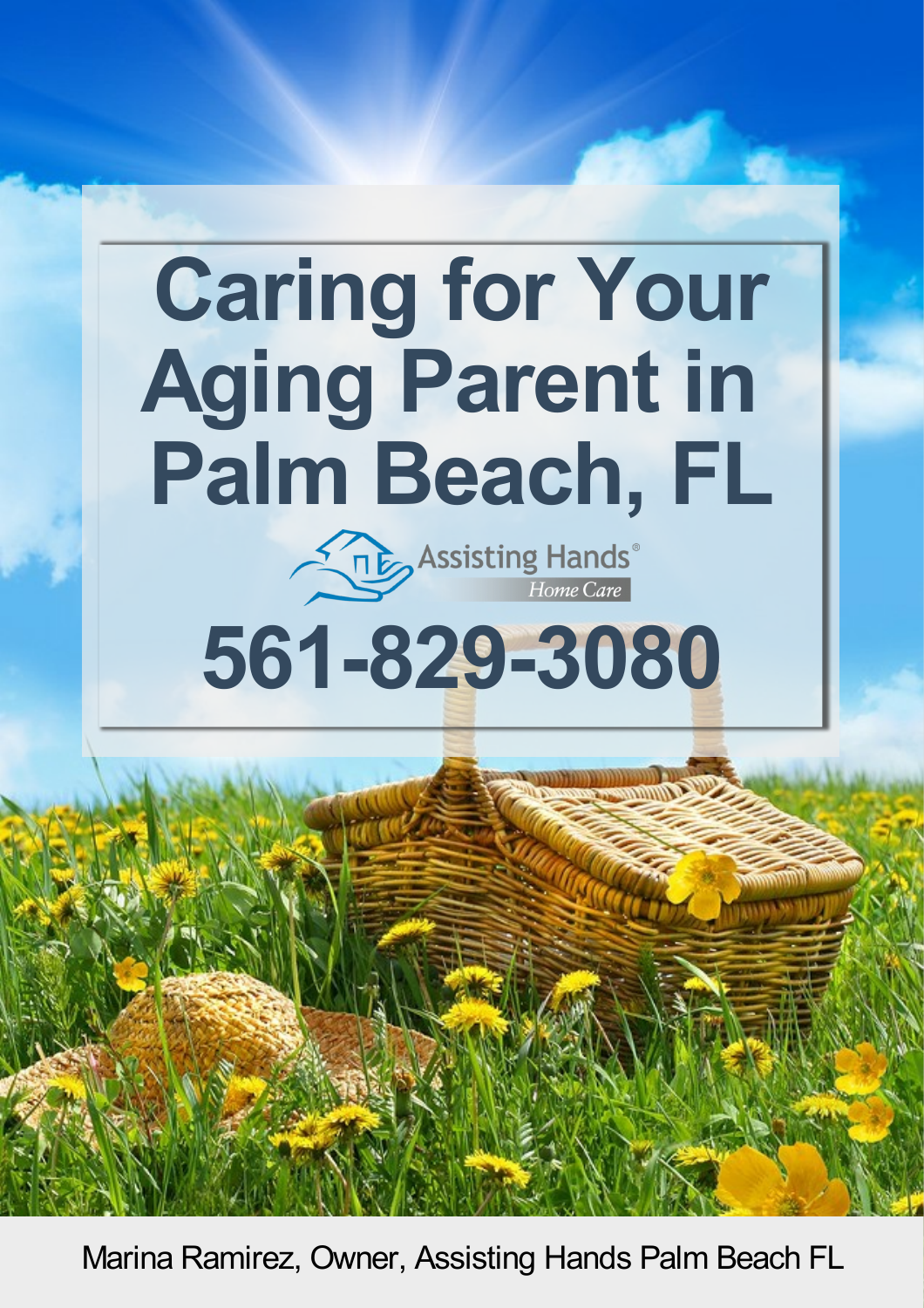# **Caring for Your Aging Parent in Palm Beach, FL**

**Assisting Hands** 

# **561-829-3080**

Marina Ramirez, Owner, Assisting Hands Palm Beach FL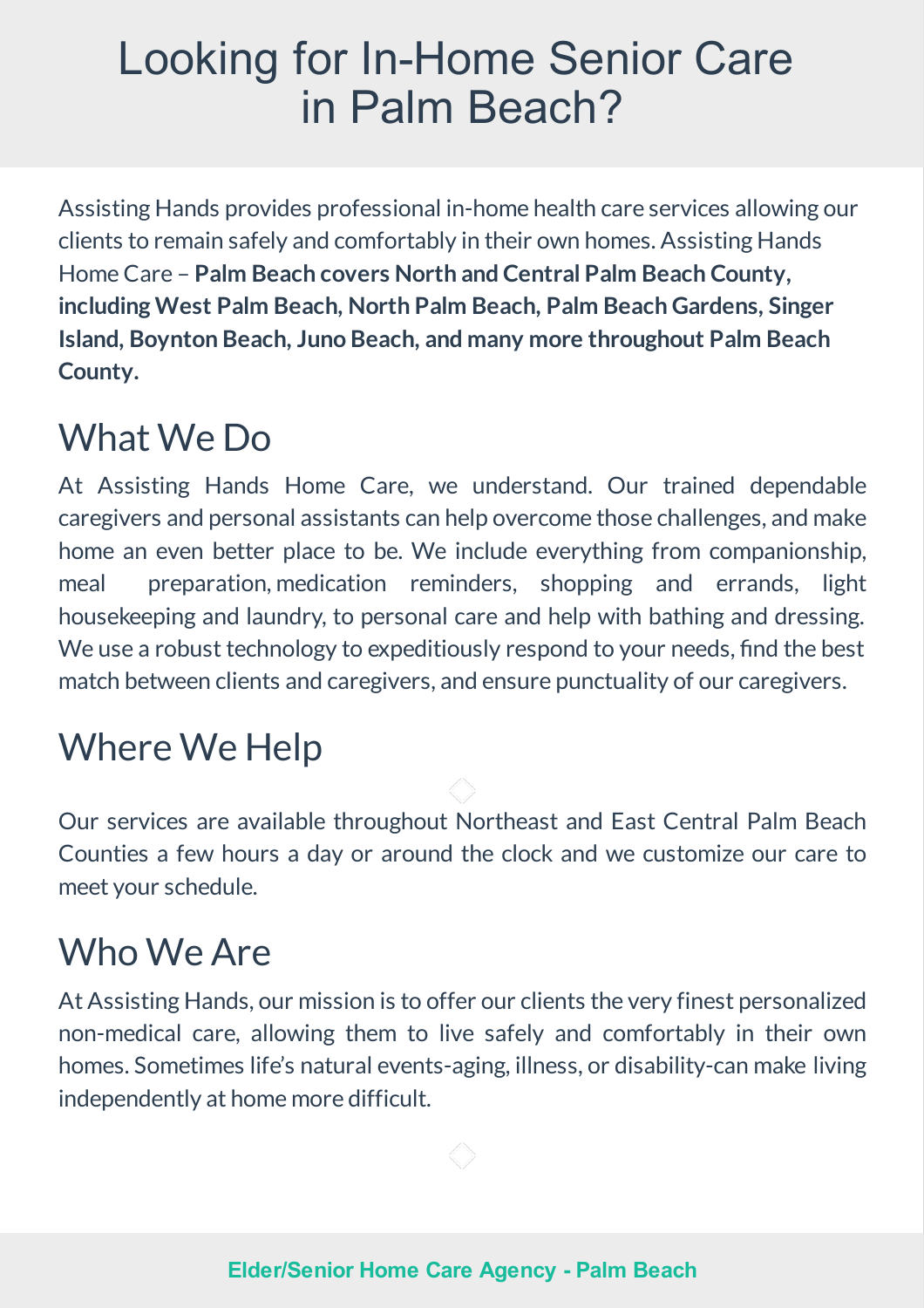### Looking for In-Home Senior Care in Palm Beach?

Assisting Hands provides professional in-home health care services allowing our clients to remain safely and comfortably in their own homes. Assisting Hands Home Care – **Palm Beach covers North and Central Palm Beach County, including West Palm Beach, North Palm Beach, Palm Beach Gardens, Singer Island, Boynton Beach, Juno Beach, andmany more throughout Palm Beach County.**

### What We Do

At Assisting Hands Home Care, we understand. Our trained dependable caregivers and personal assistants can help overcome those challenges, and make home an even better place to be. We include everything from companionship, meal preparation, medication reminders, shopping and errands, light housekeeping and laundry, to personal care and help with bathing and dressing. We use a robust technology to expeditiously respond to your needs, find the best match between clients and caregivers, and ensure punctuality of our caregivers.

### **Where We Help**

Our services are available throughout Northeast and East Central Palm Beach Counties a few hours a day or around the clock and we customize our care to meet your schedule.

### Who We Are

At Assisting Hands, our mission is to offer our clients the very finest personalized non-medical care, allowing them to live safely and comfortably in their own homes. Sometimes life's natural events-aging, illness, or disability-can make living independently at home more difficult.

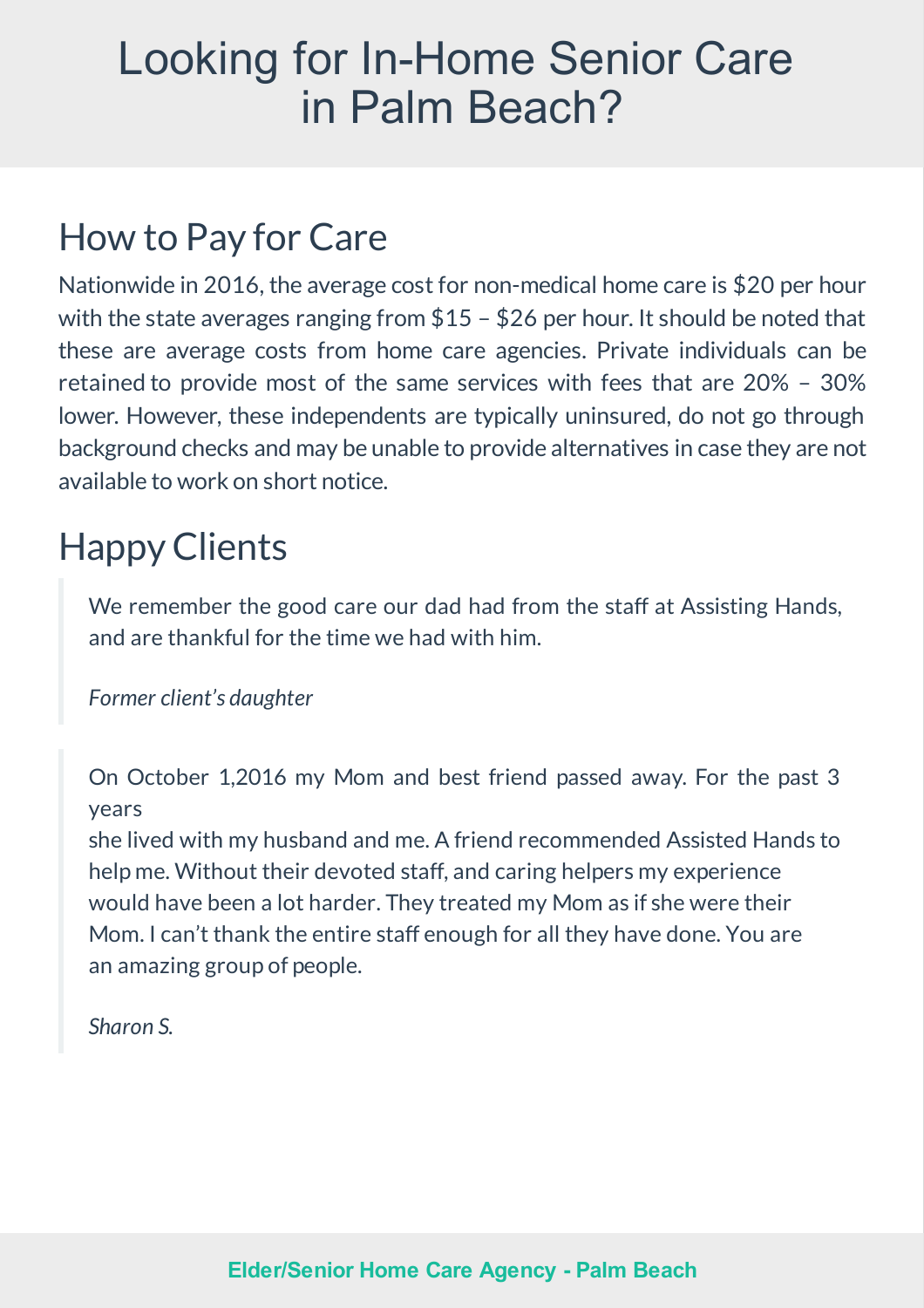### Looking for In-Home Senior Care in Palm Beach?

### How to Pay for Care

Nationwide in 2016, the average cost for non-medical home care is \$20 per hour with the state averages ranging from  $$15 - $26$  per hour. It should be noted that these are average costs from home care agencies. Private individuals can be retained to provide most of the same services with fees that are 20% – 30% lower. However, these independents are typically uninsured, do not go through background checks andmay be unable to provide alternatives in case they are not available to work on short notice.

### HappyClients

We remember the good care our dad had from the staff at Assisting Hands, and are thankful for the time we had with him.

*Former client's daughter*

On October 1,2016 my Mom and best friend passed away. For the past 3 years

she lived with my husband and me. A friend recommended Assisted Hands to helpme. Without their devoted staff, and caring helpers my experience would have been a lot harder. They treated my Mom as if she were their Mom. I can't thank the entire staff enough for all they have done. You are an amazing group of people.

*Sharon S.*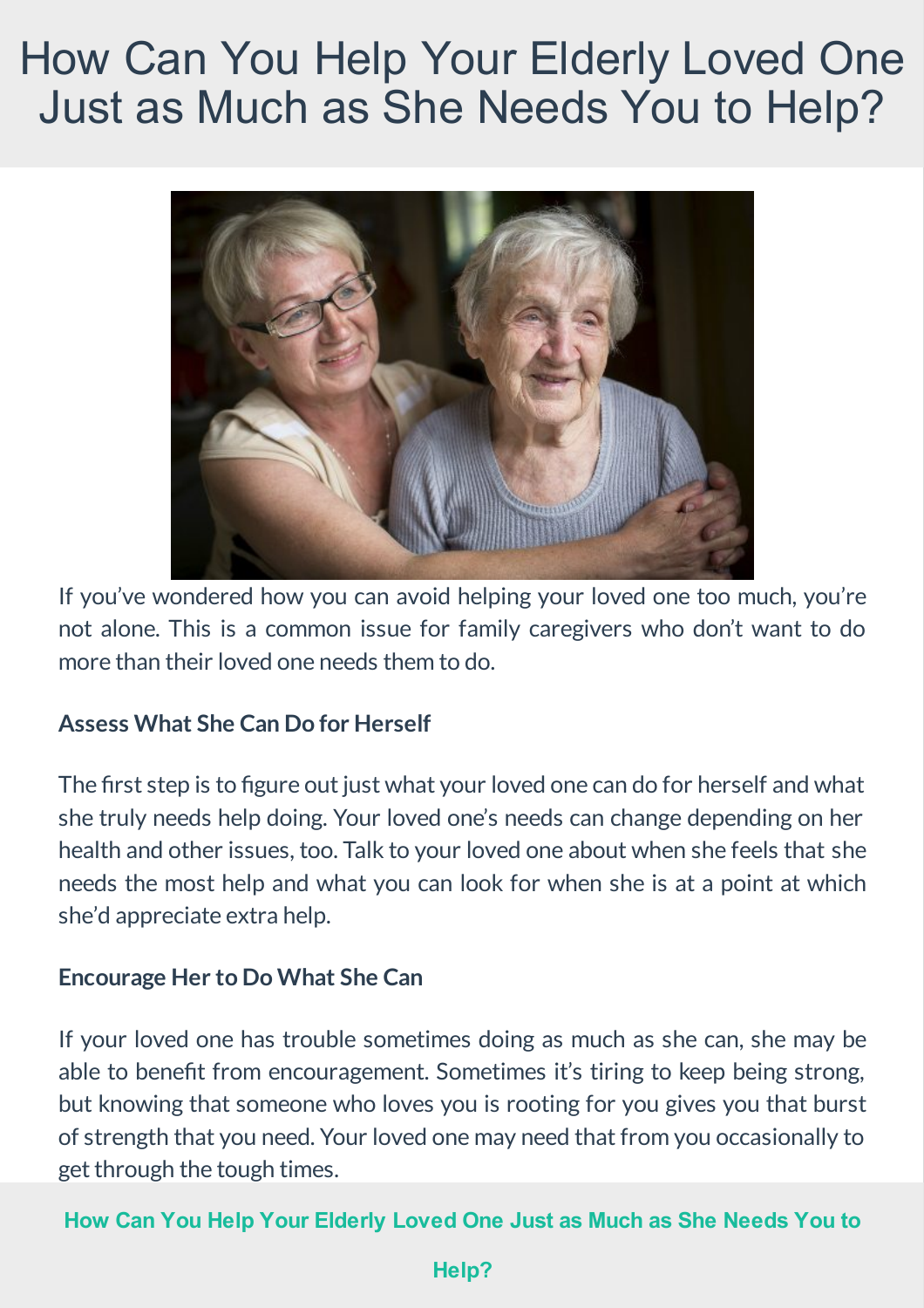### How Can You Help Your Elderly Loved One Just as Much as She Needs You to Help?



If you've wondered how you can avoid helping your loved one too much, you're not alone. This is a common issue for family caregivers who don't want to do more than their loved one needs them to do.

#### **Assess What She Can Do for Herself**

The first step is to figure out just what your loved one can do for herself and what she truly needs help doing. Your loved one's needs can change depending on her health and other issues, too. Talk to your loved one about when she feels that she needs the most help and what you can look for when she is at a point at which she'd appreciate extra help.

#### **Encourage Herto Do What She Can**

If your loved one has trouble sometimes doing as much as she can, she may be able to benefit from encouragement. Sometimes it's tiring to keep being strong, but knowing that someone who loves you is rooting for you gives you that burst of strength that you need. Your loved onemay need that fromyou occasionally to get through the tough times.

#### **How Can You Help Your [Elderly](http://www.assistinghands.com/34/florida/palmbeach/blog/senior-care-in-wellington-fl-1909/) Loved One Just as Much as She Needs You to**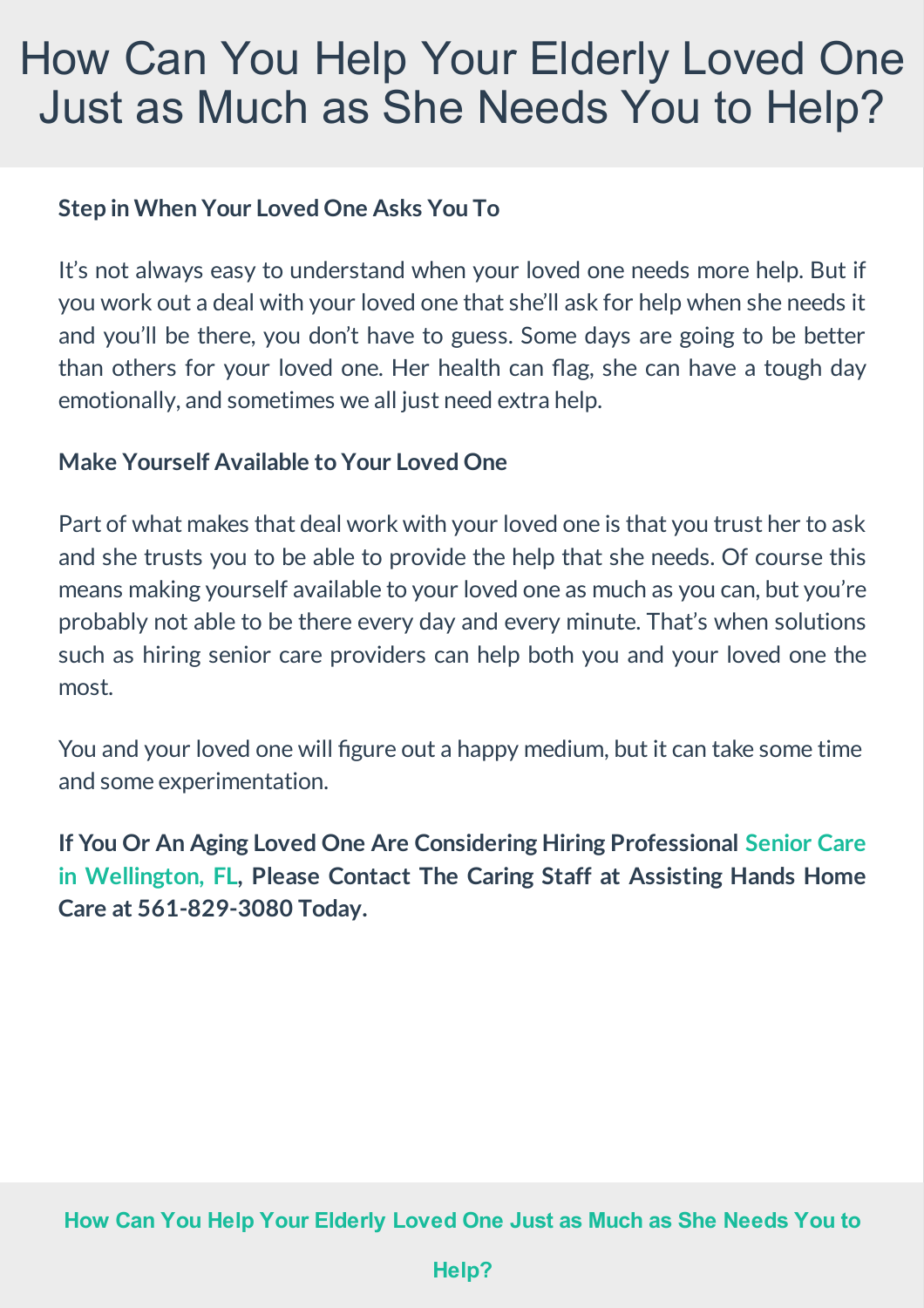### How Can You Help Your Elderly Loved One Just as Much as She Needs You to Help?

#### **Step in When Your LovedOne Asks You To**

It's not always easy to understand when your loved one needs more help. But if you work out a deal with your loved one that she'll ask for help when she needs it and you'll be there, you don't have to guess. Some days are going to be better than others for your loved one. Her health can flag, she can have a tough day emotionally, and sometimes we all just need extra help.

#### **Make Yourself Available to Your LovedOne**

Part of what makes that deal work with your loved one is that you trust her to ask and she trusts you to be able to provide the help that she needs. Of course this means making yourself available to your loved one as much as you can, but you're probably not able to be there every day and every minute. That's when solutions such as hiring senior care providers can help both you and your loved one the most.

You and your loved one will figure out a happy medium, but it can take some time and some experimentation.

**If You Or An Aging Loved One Are Considering Hiring [Professional](http://www.assistinghands.com/palmbeach/services/) Senior Care in Wellington, FL, Please Contact The Caring Staff at Assisting Hands Home Care at 561-829-3080 Today.**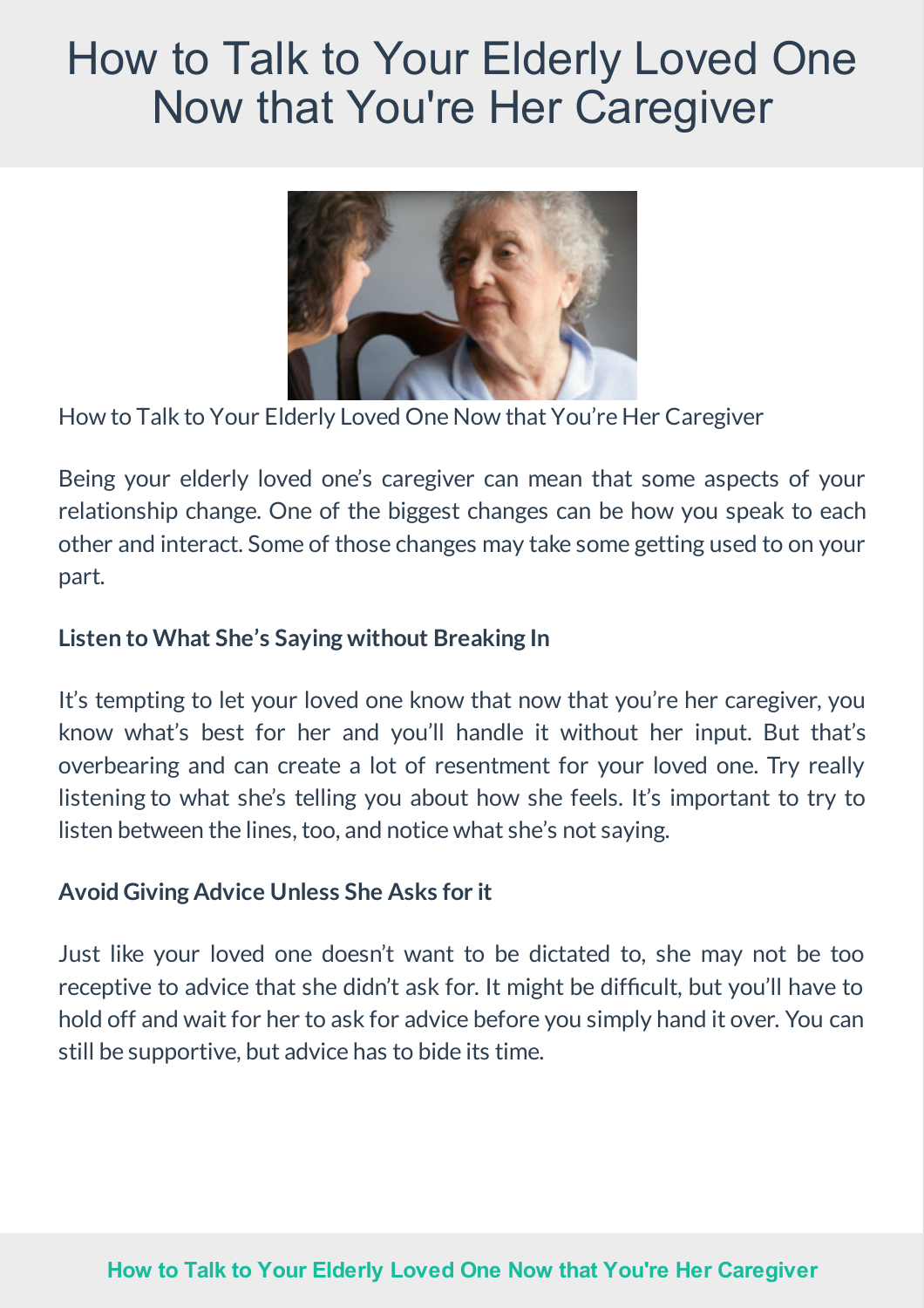### How to Talk to Your Elderly Loved One Now that You're Her Caregiver



How to Talk to Your Elderly Loved One Now that You're Her Caregiver

Being your elderly loved one's caregiver can mean that some aspects of your relationship change. One of the biggest changes can be how you speak to each other and interact. Some of those changes may take some getting used to on your part.

#### **Listen to What She's Sayingwithout Breaking In**

It's tempting to let your loved one know that now that you're her caregiver, you know what's best for her and you'll handle it without her input. But that's overbearing and can create a lot of resentment for your loved one. Try really listening to what she's telling you about how she feels. It's important to try to listen between the lines, too, and notice what she's not saying.

#### **Avoid Giving Advice Unless She Asks forit**

Just like your loved one doesn't want to be dictated to, she may not be too receptive to advice that she didn't ask for. It might be difficult, but you'll have to hold off and wait for her to ask for advice before you simply hand it over. You can still be supportive, but advice has to bide its time.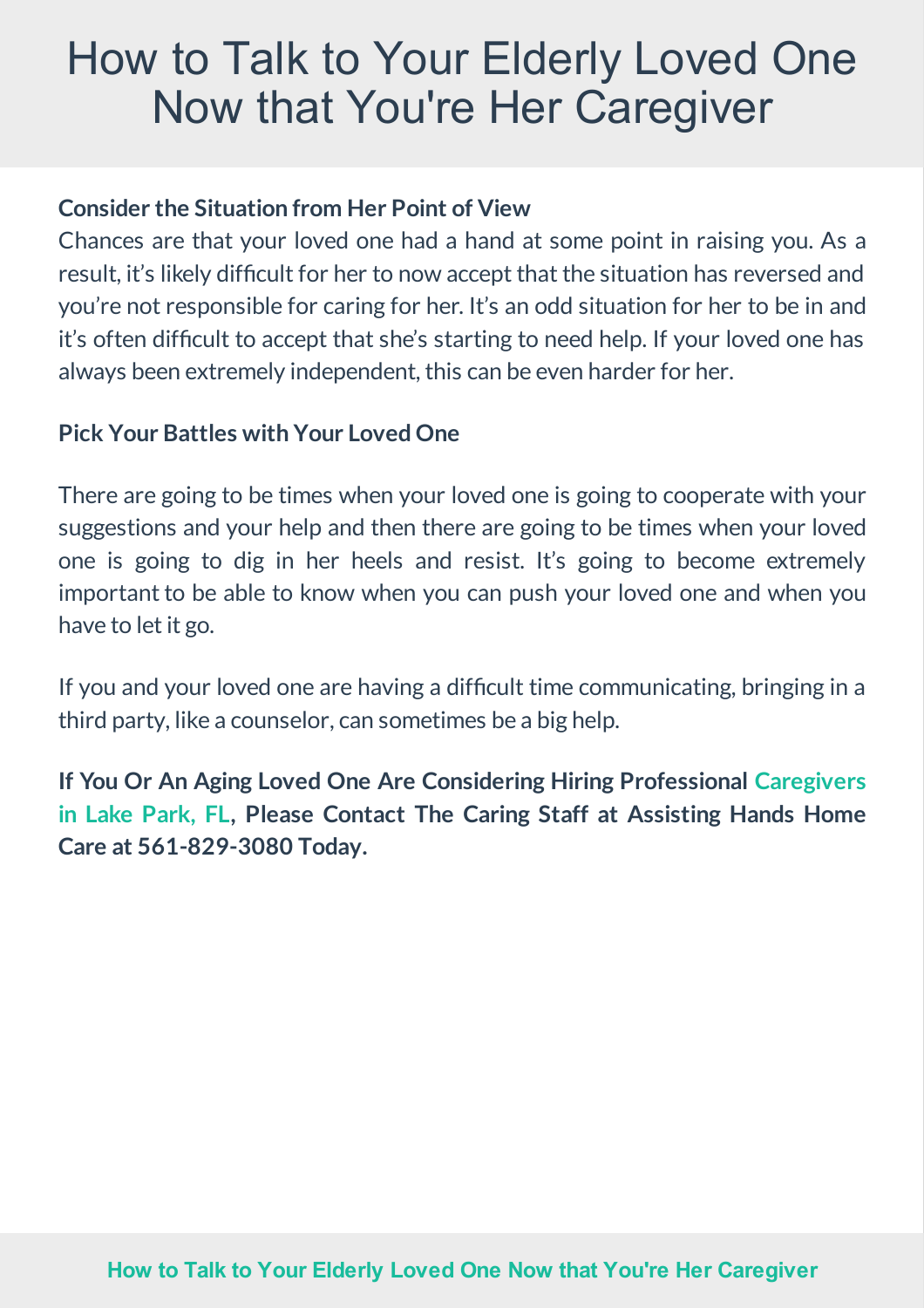### How to Talk to Your Elderly Loved One Now that You're Her Caregiver

#### **Considerthe Situation from Her Point of View**

Chances are that your loved one had a hand at some point in raising you. As a result, it's likely difficult for her to now accept that the situation has reversed and you're not responsible for caring for her. It's an odd situation for her to be in and it's often difficult to accept that she's starting to need help. If your loved one has always been extremely independent, thiscan be even harder for her.

#### **Pick Your Battles with Your LovedOne**

There are going to be times when your loved one is going to cooperate with your suggestions and your help and then there are going to be times when your loved one is going to dig in her heels and resist. It's going to become extremely important to be able to know when you can push your loved one and when you have to let it go.

If you and your loved one are having a difficult time communicating, bringing in a third party, like a counselor, can sometimes be a big help.

**If You Or An Aging Loved One Are Considering Hiring [Professional](http://www.assistinghands.com/palmbeach/services/) Caregivers in Lake Park, FL, Please Contact The Caring Staff at Assisting Hands Home Care at 561-829-3080 Today.**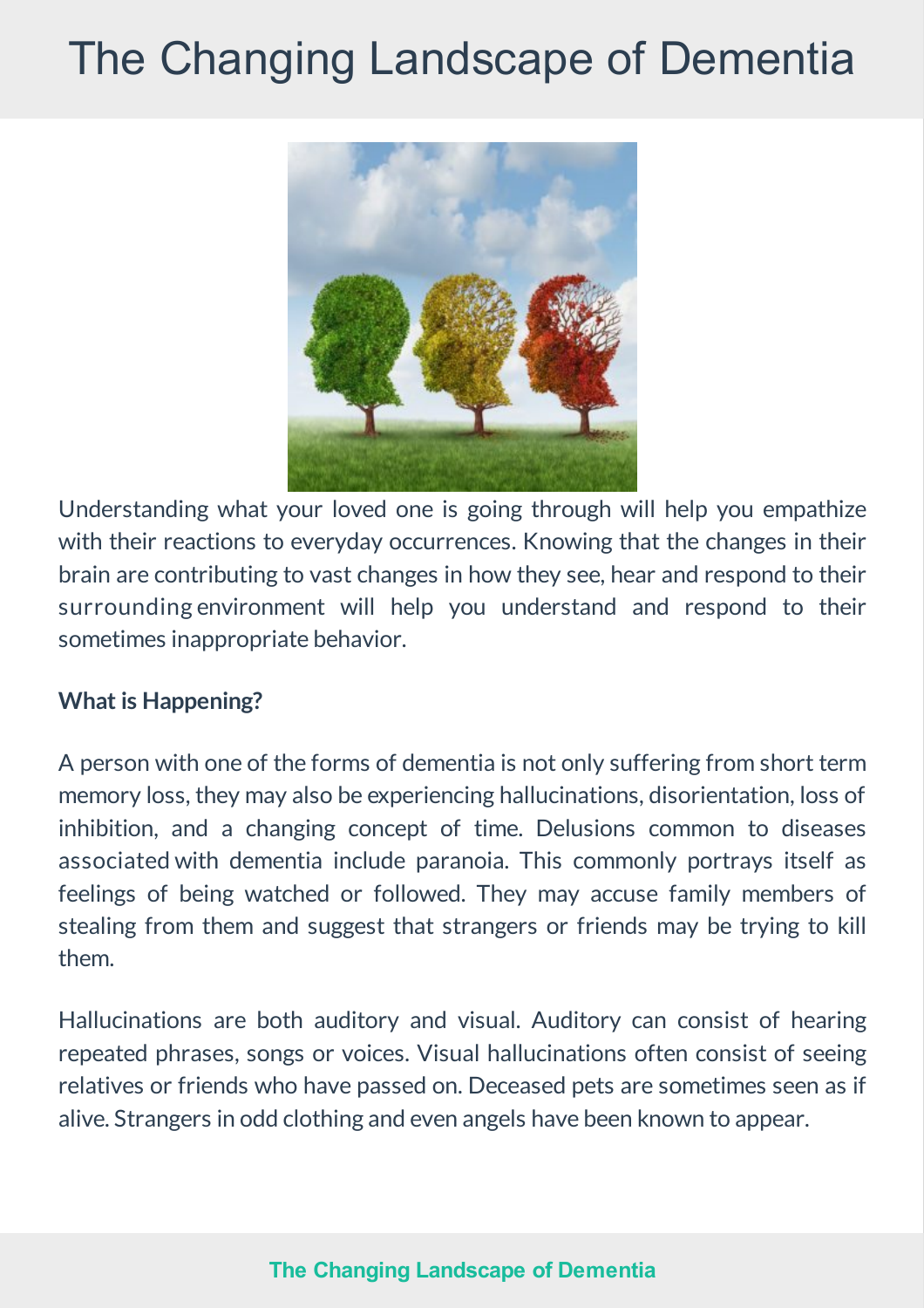## The Changing Landscape of Dementia



Understanding what your loved one is going through will help you empathize with their reactions to everyday occurrences. Knowing that the changes in their brain are contributing to vast changes in how they see, hear and respond to their surrounding environment will help you understand and respond to their sometimes inappropriate behavior.

#### **What is Happening?**

A person with one of the forms of dementia is not only suffering from short term memory loss, they may also be experiencing hallucinations, disorientation, loss of inhibition, and a changing concept of time. Delusions common to diseases associated with dementia include paranoia. This commonly portrays itself as feelings of being watched or followed. They may accuse family members of stealing from them and suggest that strangers or friends may be trying to kill them.

Hallucinations are both auditory and visual. Auditory can consist of hearing repeated phrases, songs or voices. Visual hallucinations often consist of seeing relatives or friends who have passed on. Deceased pets are sometimes seen as if alive. Strangers in odd clothing and even angels have been known to appear.